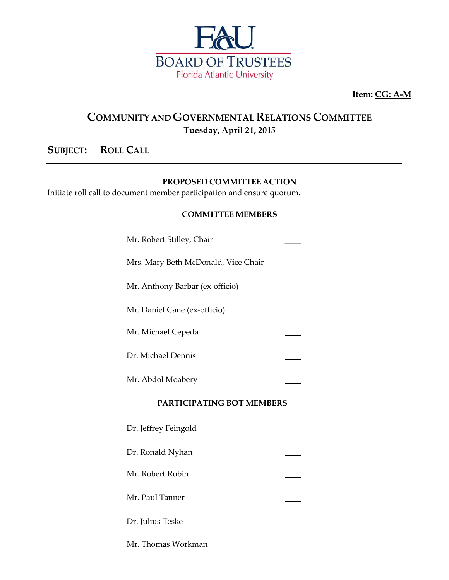

**Item: CG: A-M**

## **COMMUNITY ANDGOVERNMENTAL RELATIONS COMMITTEE Tuesday, April 21, 2015**

### **SUBJECT: ROLL CALL**

#### **PROPOSED COMMITTEE ACTION**

Initiate roll call to document member participation and ensure quorum.

#### **COMMITTEE MEMBERS**

| Mr. Robert Stilley, Chair           |  |
|-------------------------------------|--|
| Mrs. Mary Beth McDonald, Vice Chair |  |
| Mr. Anthony Barbar (ex-officio)     |  |
| Mr. Daniel Cane (ex-officio)        |  |
| Mr. Michael Cepeda                  |  |
| Dr. Michael Dennis                  |  |
| Mr. Abdol Moabery                   |  |

#### **PARTICIPATING BOT MEMBERS**

| Dr. Jeffrey Feingold |  |
|----------------------|--|
| Dr. Ronald Nyhan     |  |
| Mr. Robert Rubin     |  |
| Mr. Paul Tanner      |  |
| Dr. Julius Teske     |  |
| Mr. Thomas Workman   |  |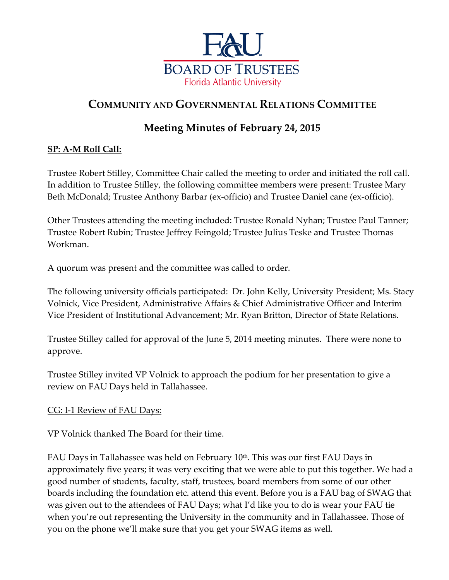

# **COMMUNITY AND GOVERNMENTAL RELATIONS COMMITTEE**

## **Meeting Minutes of February 24, 2015**

### **SP: A-M Roll Call:**

Trustee Robert Stilley, Committee Chair called the meeting to order and initiated the roll call. In addition to Trustee Stilley, the following committee members were present: Trustee Mary Beth McDonald; Trustee Anthony Barbar (ex-officio) and Trustee Daniel cane (ex-officio).

Other Trustees attending the meeting included: Trustee Ronald Nyhan; Trustee Paul Tanner; Trustee Robert Rubin; Trustee Jeffrey Feingold; Trustee Julius Teske and Trustee Thomas Workman.

A quorum was present and the committee was called to order.

The following university officials participated: Dr. John Kelly, University President; Ms. Stacy Volnick, Vice President, Administrative Affairs & Chief Administrative Officer and Interim Vice President of Institutional Advancement; Mr. Ryan Britton, Director of State Relations.

Trustee Stilley called for approval of the June 5, 2014 meeting minutes. There were none to approve.

Trustee Stilley invited VP Volnick to approach the podium for her presentation to give a review on FAU Days held in Tallahassee.

### CG: I-1 Review of FAU Days:

VP Volnick thanked The Board for their time.

FAU Days in Tallahassee was held on February 10<sup>th</sup>. This was our first FAU Days in approximately five years; it was very exciting that we were able to put this together. We had a good number of students, faculty, staff, trustees, board members from some of our other boards including the foundation etc. attend this event. Before you is a FAU bag of SWAG that was given out to the attendees of FAU Days; what I'd like you to do is wear your FAU tie when you're out representing the University in the community and in Tallahassee. Those of you on the phone we'll make sure that you get your SWAG items as well.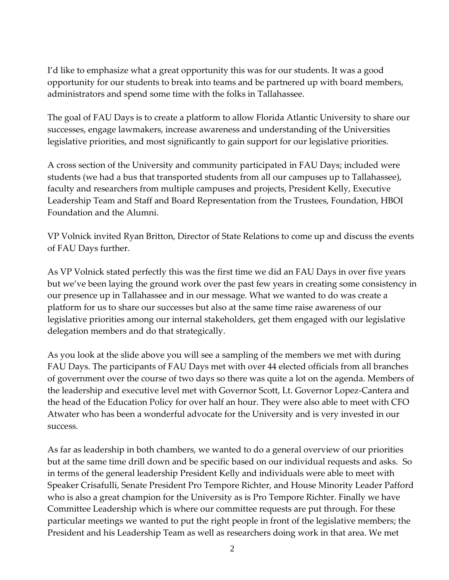I'd like to emphasize what a great opportunity this was for our students. It was a good opportunity for our students to break into teams and be partnered up with board members, administrators and spend some time with the folks in Tallahassee.

The goal of FAU Days is to create a platform to allow Florida Atlantic University to share our successes, engage lawmakers, increase awareness and understanding of the Universities legislative priorities, and most significantly to gain support for our legislative priorities.

A cross section of the University and community participated in FAU Days; included were students (we had a bus that transported students from all our campuses up to Tallahassee), faculty and researchers from multiple campuses and projects, President Kelly, Executive Leadership Team and Staff and Board Representation from the Trustees, Foundation, HBOI Foundation and the Alumni.

VP Volnick invited Ryan Britton, Director of State Relations to come up and discuss the events of FAU Days further.

As VP Volnick stated perfectly this was the first time we did an FAU Days in over five years but we've been laying the ground work over the past few years in creating some consistency in our presence up in Tallahassee and in our message. What we wanted to do was create a platform for us to share our successes but also at the same time raise awareness of our legislative priorities among our internal stakeholders, get them engaged with our legislative delegation members and do that strategically.

As you look at the slide above you will see a sampling of the members we met with during FAU Days. The participants of FAU Days met with over 44 elected officials from all branches of government over the course of two days so there was quite a lot on the agenda. Members of the leadership and executive level met with Governor Scott, Lt. Governor Lopez-Cantera and the head of the Education Policy for over half an hour. They were also able to meet with CFO Atwater who has been a wonderful advocate for the University and is very invested in our success.

As far as leadership in both chambers, we wanted to do a general overview of our priorities but at the same time drill down and be specific based on our individual requests and asks. So in terms of the general leadership President Kelly and individuals were able to meet with Speaker Crisafulli, Senate President Pro Tempore Richter, and House Minority Leader Pafford who is also a great champion for the University as is Pro Tempore Richter. Finally we have Committee Leadership which is where our committee requests are put through. For these particular meetings we wanted to put the right people in front of the legislative members; the President and his Leadership Team as well as researchers doing work in that area. We met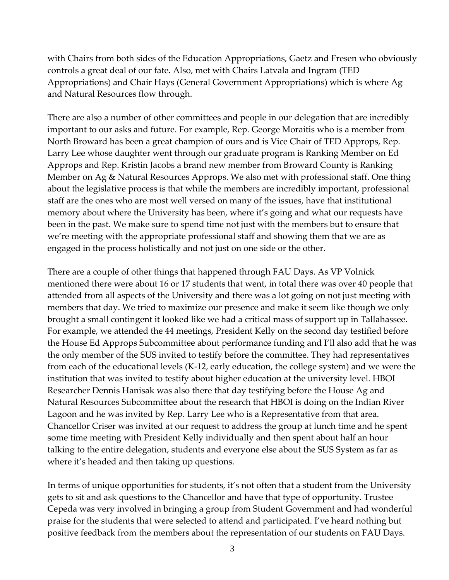with Chairs from both sides of the Education Appropriations, Gaetz and Fresen who obviously controls a great deal of our fate. Also, met with Chairs Latvala and Ingram (TED Appropriations) and Chair Hays (General Government Appropriations) which is where Ag and Natural Resources flow through.

There are also a number of other committees and people in our delegation that are incredibly important to our asks and future. For example, Rep. George Moraitis who is a member from North Broward has been a great champion of ours and is Vice Chair of TED Approps, Rep. Larry Lee whose daughter went through our graduate program is Ranking Member on Ed Approps and Rep. Kristin Jacobs a brand new member from Broward County is Ranking Member on Ag & Natural Resources Approps. We also met with professional staff. One thing about the legislative process is that while the members are incredibly important, professional staff are the ones who are most well versed on many of the issues, have that institutional memory about where the University has been, where it's going and what our requests have been in the past. We make sure to spend time not just with the members but to ensure that we're meeting with the appropriate professional staff and showing them that we are as engaged in the process holistically and not just on one side or the other.

There are a couple of other things that happened through FAU Days. As VP Volnick mentioned there were about 16 or 17 students that went, in total there was over 40 people that attended from all aspects of the University and there was a lot going on not just meeting with members that day. We tried to maximize our presence and make it seem like though we only brought a small contingent it looked like we had a critical mass of support up in Tallahassee. For example, we attended the 44 meetings, President Kelly on the second day testified before the House Ed Approps Subcommittee about performance funding and I'll also add that he was the only member of the SUS invited to testify before the committee. They had representatives from each of the educational levels (K-12, early education, the college system) and we were the institution that was invited to testify about higher education at the university level. HBOI Researcher Dennis Hanisak was also there that day testifying before the House Ag and Natural Resources Subcommittee about the research that HBOI is doing on the Indian River Lagoon and he was invited by Rep. Larry Lee who is a Representative from that area. Chancellor Criser was invited at our request to address the group at lunch time and he spent some time meeting with President Kelly individually and then spent about half an hour talking to the entire delegation, students and everyone else about the SUS System as far as where it's headed and then taking up questions.

In terms of unique opportunities for students, it's not often that a student from the University gets to sit and ask questions to the Chancellor and have that type of opportunity. Trustee Cepeda was very involved in bringing a group from Student Government and had wonderful praise for the students that were selected to attend and participated. I've heard nothing but positive feedback from the members about the representation of our students on FAU Days.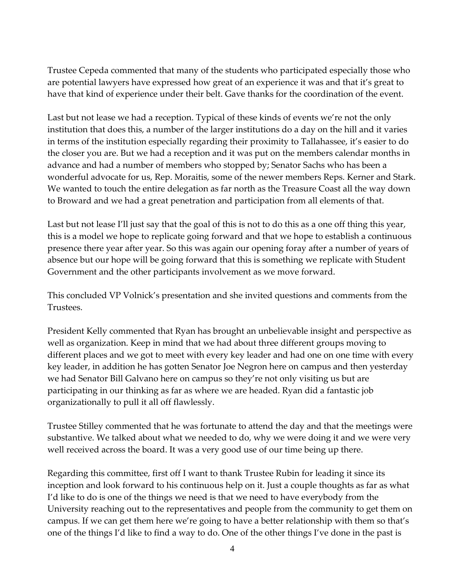Trustee Cepeda commented that many of the students who participated especially those who are potential lawyers have expressed how great of an experience it was and that it's great to have that kind of experience under their belt. Gave thanks for the coordination of the event.

Last but not lease we had a reception. Typical of these kinds of events we're not the only institution that does this, a number of the larger institutions do a day on the hill and it varies in terms of the institution especially regarding their proximity to Tallahassee, it's easier to do the closer you are. But we had a reception and it was put on the members calendar months in advance and had a number of members who stopped by; Senator Sachs who has been a wonderful advocate for us, Rep. Moraitis, some of the newer members Reps. Kerner and Stark. We wanted to touch the entire delegation as far north as the Treasure Coast all the way down to Broward and we had a great penetration and participation from all elements of that.

Last but not lease I'll just say that the goal of this is not to do this as a one off thing this year, this is a model we hope to replicate going forward and that we hope to establish a continuous presence there year after year. So this was again our opening foray after a number of years of absence but our hope will be going forward that this is something we replicate with Student Government and the other participants involvement as we move forward.

This concluded VP Volnick's presentation and she invited questions and comments from the Trustees.

President Kelly commented that Ryan has brought an unbelievable insight and perspective as well as organization. Keep in mind that we had about three different groups moving to different places and we got to meet with every key leader and had one on one time with every key leader, in addition he has gotten Senator Joe Negron here on campus and then yesterday we had Senator Bill Galvano here on campus so they're not only visiting us but are participating in our thinking as far as where we are headed. Ryan did a fantastic job organizationally to pull it all off flawlessly.

Trustee Stilley commented that he was fortunate to attend the day and that the meetings were substantive. We talked about what we needed to do, why we were doing it and we were very well received across the board. It was a very good use of our time being up there.

Regarding this committee, first off I want to thank Trustee Rubin for leading it since its inception and look forward to his continuous help on it. Just a couple thoughts as far as what I'd like to do is one of the things we need is that we need to have everybody from the University reaching out to the representatives and people from the community to get them on campus. If we can get them here we're going to have a better relationship with them so that's one of the things I'd like to find a way to do. One of the other things I've done in the past is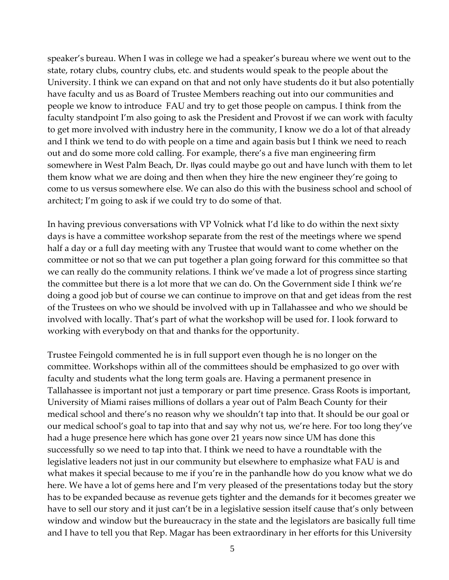speaker's bureau. When I was in college we had a speaker's bureau where we went out to the state, rotary clubs, country clubs, etc. and students would speak to the people about the University. I think we can expand on that and not only have students do it but also potentially have faculty and us as Board of Trustee Members reaching out into our communities and people we know to introduce FAU and try to get those people on campus. I think from the faculty standpoint I'm also going to ask the President and Provost if we can work with faculty to get more involved with industry here in the community, I know we do a lot of that already and I think we tend to do with people on a time and again basis but I think we need to reach out and do some more cold calling. For example, there's a five man engineering firm somewhere in West Palm Beach, Dr. Ilyas could maybe go out and have lunch with them to let them know what we are doing and then when they hire the new engineer they're going to come to us versus somewhere else. We can also do this with the business school and school of architect; I'm going to ask if we could try to do some of that.

In having previous conversations with VP Volnick what I'd like to do within the next sixty days is have a committee workshop separate from the rest of the meetings where we spend half a day or a full day meeting with any Trustee that would want to come whether on the committee or not so that we can put together a plan going forward for this committee so that we can really do the community relations. I think we've made a lot of progress since starting the committee but there is a lot more that we can do. On the Government side I think we're doing a good job but of course we can continue to improve on that and get ideas from the rest of the Trustees on who we should be involved with up in Tallahassee and who we should be involved with locally. That's part of what the workshop will be used for. I look forward to working with everybody on that and thanks for the opportunity.

Trustee Feingold commented he is in full support even though he is no longer on the committee. Workshops within all of the committees should be emphasized to go over with faculty and students what the long term goals are. Having a permanent presence in Tallahassee is important not just a temporary or part time presence. Grass Roots is important, University of Miami raises millions of dollars a year out of Palm Beach County for their medical school and there's no reason why we shouldn't tap into that. It should be our goal or our medical school's goal to tap into that and say why not us, we're here. For too long they've had a huge presence here which has gone over 21 years now since UM has done this successfully so we need to tap into that. I think we need to have a roundtable with the legislative leaders not just in our community but elsewhere to emphasize what FAU is and what makes it special because to me if you're in the panhandle how do you know what we do here. We have a lot of gems here and I'm very pleased of the presentations today but the story has to be expanded because as revenue gets tighter and the demands for it becomes greater we have to sell our story and it just can't be in a legislative session itself cause that's only between window and window but the bureaucracy in the state and the legislators are basically full time and I have to tell you that Rep. Magar has been extraordinary in her efforts for this University